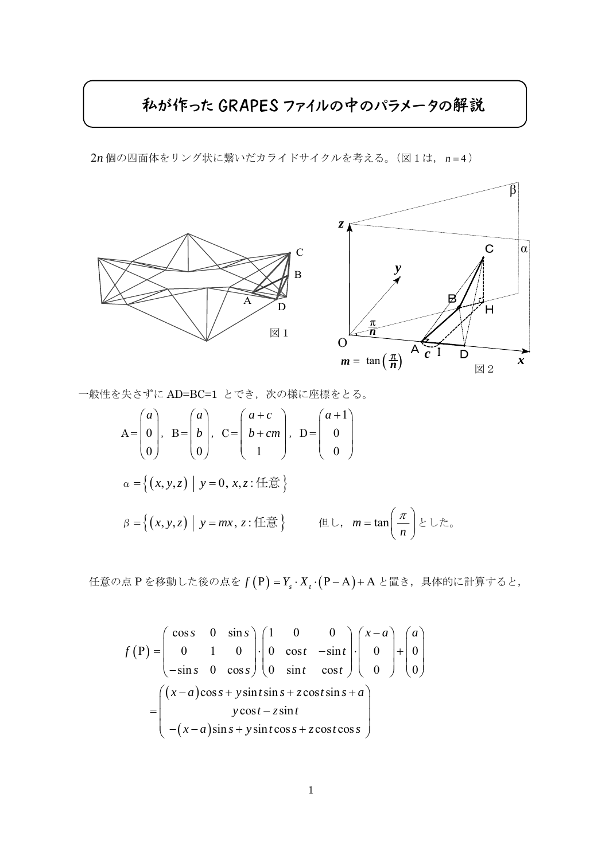## 私が作った GRAPES ファイルの中のパラメータの解説

2n 個の四面体をリング状に繋いだカライドサイクルを考える。(図1は, n = 4)



一般性を失さずに AD=BC=1 とでき、次の様に座標をとる。

$$
A = \begin{pmatrix} a \\ 0 \\ 0 \end{pmatrix}, B = \begin{pmatrix} a \\ b \\ 0 \end{pmatrix}, C = \begin{pmatrix} a+c \\ b+cm \\ 1 \end{pmatrix}, D = \begin{pmatrix} a+1 \\ 0 \\ 0 \end{pmatrix}
$$
  
\n
$$
\alpha = \left\{ (x, y, z) \mid y = 0, x, z : \text{fft } \hat{\mathbb{B}} \right\}
$$
  
\n
$$
\beta = \left\{ (x, y, z) \mid y = mx, z : \text{fft } \hat{\mathbb{B}} \right\} \qquad \text{fft } \cup, m = \tan \left( \frac{\pi}{n} \right) \geq \cup \tau_{\infty}
$$

任意の点 P を移動した後の点を f (P) = Y<sub>s</sub> · X<sub>t</sub> · (P − A) + A と置き, 具体的に計算すると,

$$
f(P) = \begin{pmatrix} \cos s & 0 & \sin s \\ 0 & 1 & 0 \\ -\sin s & 0 & \cos s \end{pmatrix} \cdot \begin{pmatrix} 1 & 0 & 0 \\ 0 & \cos t & -\sin t \\ 0 & \sin t & \cos t \end{pmatrix} \cdot \begin{pmatrix} x-a \\ 0 \\ 0 \end{pmatrix} + \begin{pmatrix} a \\ 0 \\ 0 \end{pmatrix}
$$

$$
= \begin{pmatrix} (x-a)\cos s + y\sin t\sin s + z\cos t\sin s + a \\ y\cos t - z\sin t \\ -(x-a)\sin s + y\sin t\cos s + z\cos t\cos s \end{pmatrix}
$$